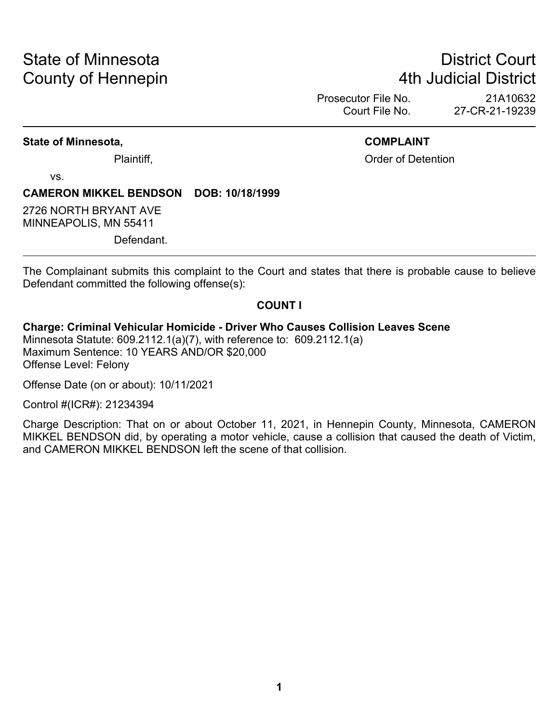# State of Minnesota **District Court County of Hennepin 1988** County of Hennepin **1988** County of Hennepin **1988** County of Hennepin **1988**

Prosecutor File No. 21A10632<br>Court File No. 27-CR-21-19239 27-CR-21-19239

#### **State of Minnesota, COMPLAINT**

Plaintiff, Plaintiff, Plaintiff, Plaintiff, Plaintiff, Plaintiff, Plaintiff, Plaintiff, Plaintiff, Plaintiff, Plaintiff, Plaintiff, Plaintiff, Plaintiff, Plaintiff, Plaintiff, Plaintiff, Plaintiff, Plaintiff, Plaintiff, Pl

vs.

#### **CAMERON MIKKEL BENDSON DOB: 10/18/1999**

2726 NORTH BRYANT AVE MINNEAPOLIS, MN 55411

Defendant.

The Complainant submits this complaint to the Court and states that there is probable cause to believe Defendant committed the following offense(s):

#### **COUNT I**

**Charge: Criminal Vehicular Homicide - Driver Who Causes Collision Leaves Scene** Minnesota Statute: 609.2112.1(a)(7), with reference to: 609.2112.1(a)

Maximum Sentence: 10 YEARS AND/OR \$20,000 Offense Level: Felony

Offense Date (on or about): 10/11/2021

Control #(ICR#): 21234394

Charge Description: That on or about October 11, 2021, in Hennepin County, Minnesota, CAMERON MIKKEL BENDSON did, by operating a motor vehicle, cause a collision that caused the death of Victim, and CAMERON MIKKEL BENDSON left the scene of that collision.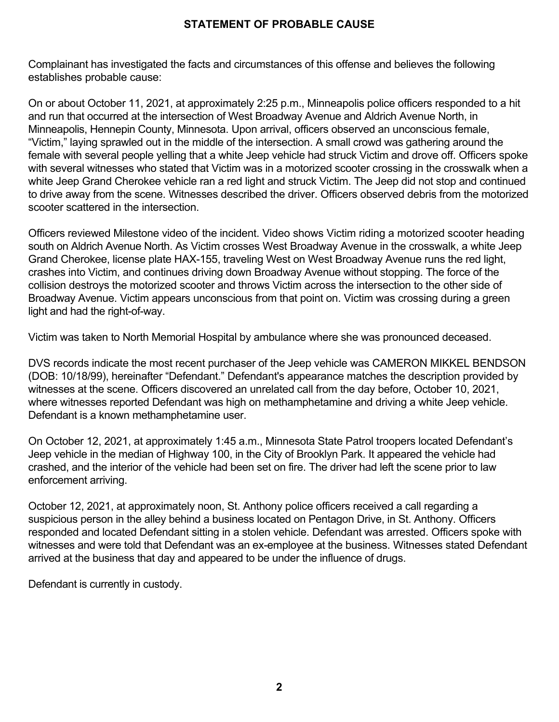### **STATEMENT OF PROBABLE CAUSE**

Complainant has investigated the facts and circumstances of this offense and believes the following establishes probable cause:

On or about October 11, 2021, at approximately 2:25 p.m., Minneapolis police officers responded to a hit and run that occurred at the intersection of West Broadway Avenue and Aldrich Avenue North, in Minneapolis, Hennepin County, Minnesota. Upon arrival, officers observed an unconscious female, "Victim," laying sprawled out in the middle of the intersection. A small crowd was gathering around the female with several people yelling that a white Jeep vehicle had struck Victim and drove off. Officers spoke with several witnesses who stated that Victim was in a motorized scooter crossing in the crosswalk when a white Jeep Grand Cherokee vehicle ran a red light and struck Victim. The Jeep did not stop and continued to drive away from the scene. Witnesses described the driver. Officers observed debris from the motorized scooter scattered in the intersection.

Officers reviewed Milestone video of the incident. Video shows Victim riding a motorized scooter heading south on Aldrich Avenue North. As Victim crosses West Broadway Avenue in the crosswalk, a white Jeep Grand Cherokee, license plate HAX-155, traveling West on West Broadway Avenue runs the red light, crashes into Victim, and continues driving down Broadway Avenue without stopping. The force of the collision destroys the motorized scooter and throws Victim across the intersection to the other side of Broadway Avenue. Victim appears unconscious from that point on. Victim was crossing during a green light and had the right-of-way.

Victim was taken to North Memorial Hospital by ambulance where she was pronounced deceased.

DVS records indicate the most recent purchaser of the Jeep vehicle was CAMERON MIKKEL BENDSON (DOB: 10/18/99), hereinafter "Defendant." Defendant's appearance matches the description provided by witnesses at the scene. Officers discovered an unrelated call from the day before, October 10, 2021, where witnesses reported Defendant was high on methamphetamine and driving a white Jeep vehicle. Defendant is a known methamphetamine user.

On October 12, 2021, at approximately 1:45 a.m., Minnesota State Patrol troopers located Defendant's Jeep vehicle in the median of Highway 100, in the City of Brooklyn Park. It appeared the vehicle had crashed, and the interior of the vehicle had been set on fire. The driver had left the scene prior to law enforcement arriving.

October 12, 2021, at approximately noon, St. Anthony police officers received a call regarding a suspicious person in the alley behind a business located on Pentagon Drive, in St. Anthony. Officers responded and located Defendant sitting in a stolen vehicle. Defendant was arrested. Officers spoke with witnesses and were told that Defendant was an ex-employee at the business. Witnesses stated Defendant arrived at the business that day and appeared to be under the influence of drugs.

Defendant is currently in custody.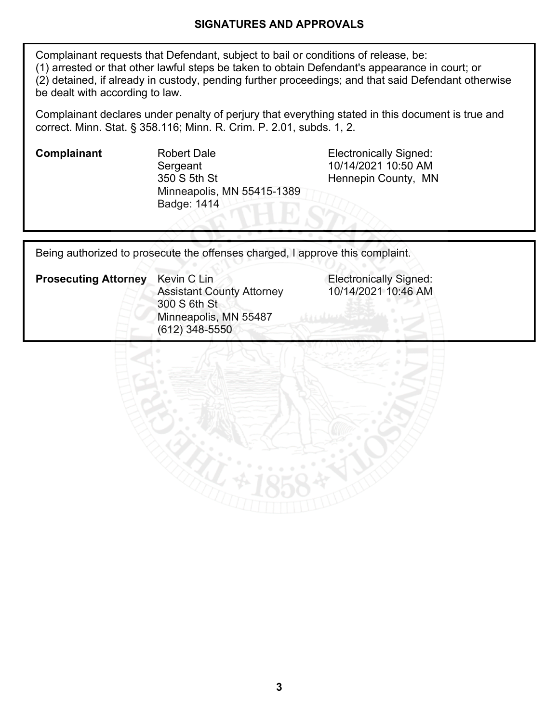#### **SIGNATURES AND APPROVALS**

Complainant requests that Defendant, subject to bail or conditions of release, be: (1) arrested or that other lawful steps be taken to obtain Defendant's appearance in court; or (2) detained, if already in custody, pending further proceedings; and that said Defendant otherwise be dealt with according to law.

Complainant declares under penalty of perjury that everything stated in this document is true and correct. Minn. Stat. § 358.116; Minn. R. Crim. P. 2.01, subds. 1, 2.

**Complainant** Robert Dale **Robert Dale** Electronically Signed: **Sergeant** 350 S 5th St Minneapolis, MN 55415-1389 Badge: 1414

10/14/2021 10:50 AM Hennepin County, MN

**Electronically Signed:** 10/14/2021 10:46 AM

Being authorized to prosecute the offenses charged, I approve this complaint.

| <b>Prosecuting Attorney</b> | Kevin C Lin<br><b>Assistant County Attorney</b> |  |  |  |
|-----------------------------|-------------------------------------------------|--|--|--|
|                             | 300 S 6th St                                    |  |  |  |
|                             | Minneapolis, MN 55487                           |  |  |  |
|                             | $(612)$ 348-5550                                |  |  |  |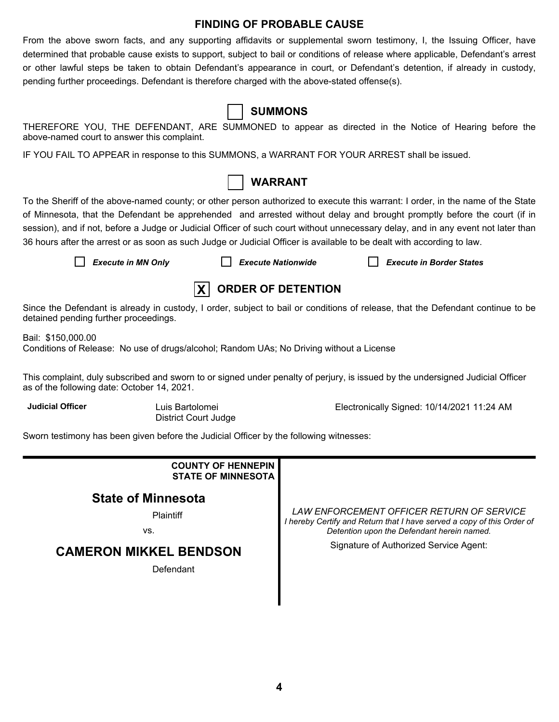#### **FINDING OF PROBABLE CAUSE**

From the above sworn facts, and any supporting affidavits or supplemental sworn testimony, I, the Issuing Officer, have determined that probable cause exists to support, subject to bail or conditions of release where applicable, Defendant's arrest or other lawful steps be taken to obtain Defendant's appearance in court, or Defendant's detention, if already in custody, pending further proceedings. Defendant is therefore charged with the above-stated offense(s).

| $\blacksquare$                                |
|-----------------------------------------------|
| NDANT, ARE SUMMONED to appear<br>، complaint. |
| onse to this SUMMONS, a WARRANT FC            |

# **SUMMONS**

THEREFORE YOU, THE DEFENDANT, ARE SUMMONED to appear as directed in the Notice of Hearing before the above-named court to answer this

IF YOU FAIL TO APPEAR in response to this SUMMONS, a WARRANT FOR YOUR ARREST shall be issued.



To the Sheriff of the above-named county; or other person authorized to execute this warrant: I order, in the name of the State of Minnesota, that the Defendant be apprehended and arrested without delay and brought promptly before the court (if in session), and if not, before a Judge or Judicial Officer of such court without unnecessary delay, and in any event not later than 36 hours after the arrest or as soon as such Judge or Judicial Officer is available to be dealt with according to law.

*Execute in MN Only Execute Nationwide Execute in Border States*



Since the Defendant is already in custody, I order, subject to bail or conditions of release, that the Defendant continue to be detained pending further proceedings.

Bail: \$150,000.00

Conditions of Release: No use of drugs/alcohol; Random UAs; No Driving without a License

This complaint, duly subscribed and sworn to or signed under penalty of perjury, is issued by the undersigned Judicial Officer as of the following date: October 14, 2021.

**Judicial Officer** Luis Bartolomei

District Court Judge

Electronically Signed: 10/14/2021 11:24 AM

Sworn testimony has been given before the Judicial Officer by the following witnesses:

| LAW ENFORCEMENT OFFICER RETURN OF SERVICE<br>I hereby Certify and Return that I have served a copy of this Order of<br>Detention upon the Defendant herein named. |
|-------------------------------------------------------------------------------------------------------------------------------------------------------------------|
| Signature of Authorized Service Agent:                                                                                                                            |
|                                                                                                                                                                   |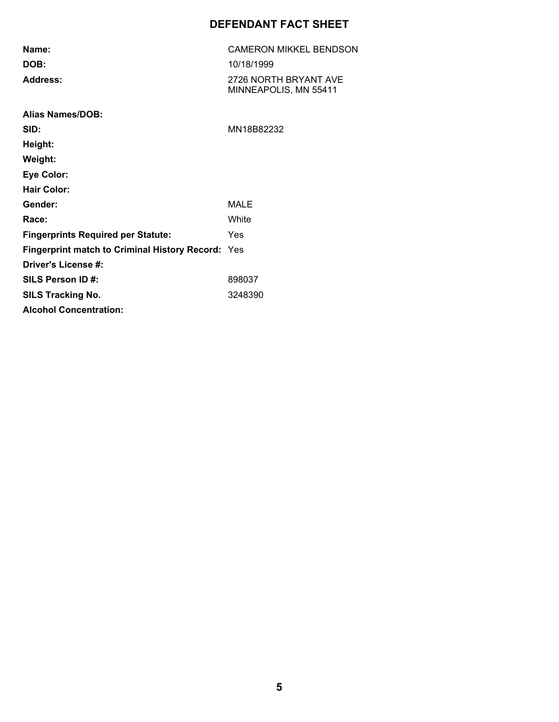# **DEFENDANT FACT SHEET**

| Name:                                             | <b>CAMERON MIKKEL BENDSON</b>                  |  |  |  |
|---------------------------------------------------|------------------------------------------------|--|--|--|
| DOB:                                              | 10/18/1999                                     |  |  |  |
| Address:                                          | 2726 NORTH BRYANT AVE<br>MINNEAPOLIS, MN 55411 |  |  |  |
| <b>Alias Names/DOB:</b>                           |                                                |  |  |  |
| SID:                                              | MN18B82232                                     |  |  |  |
| Height:                                           |                                                |  |  |  |
| Weight:                                           |                                                |  |  |  |
| <b>Eye Color:</b>                                 |                                                |  |  |  |
| <b>Hair Color:</b>                                |                                                |  |  |  |
| Gender:                                           | MALE                                           |  |  |  |
| Race:                                             | White                                          |  |  |  |
| <b>Fingerprints Required per Statute:</b>         | Yes                                            |  |  |  |
| Fingerprint match to Criminal History Record: Yes |                                                |  |  |  |
| Driver's License #:                               |                                                |  |  |  |
| SILS Person ID#:                                  | 898037                                         |  |  |  |
| <b>SILS Tracking No.</b>                          | 3248390                                        |  |  |  |
| <b>Alcohol Concentration:</b>                     |                                                |  |  |  |